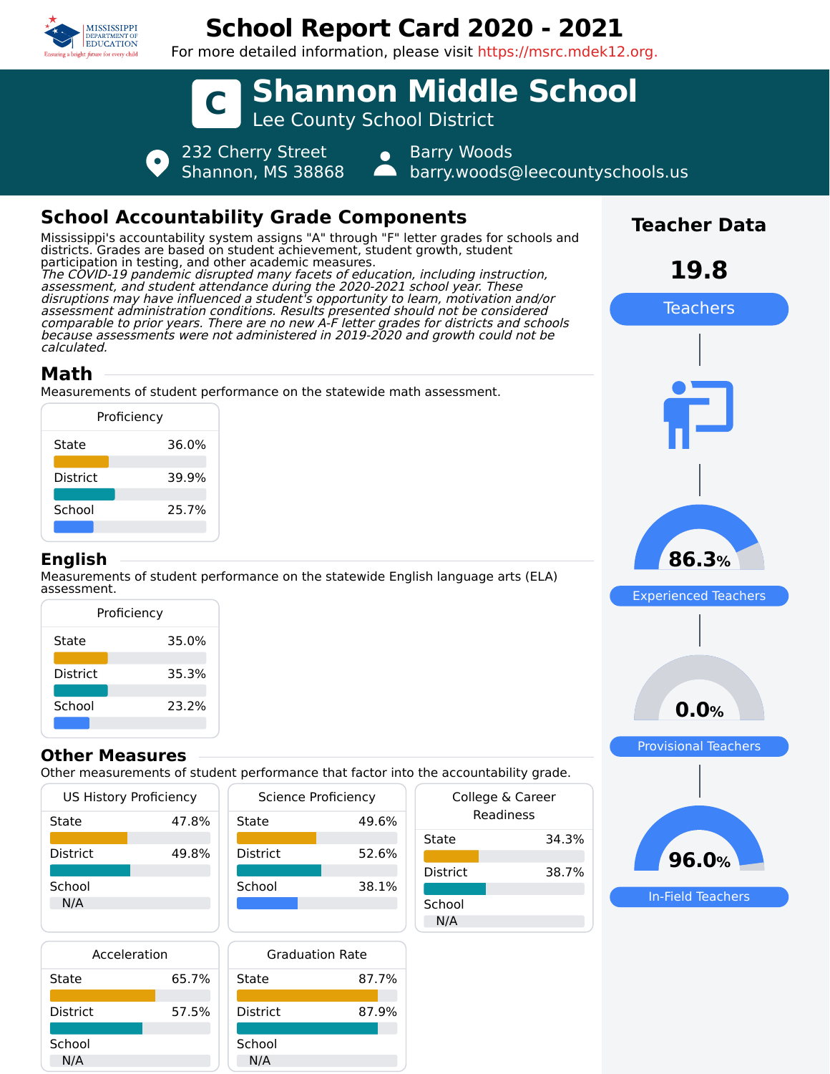

## **School Report Card 2020 - 2021**

For more detailed information, please visit https://msrc.mdek12.org.



| Acceleration    |       |
|-----------------|-------|
| State           | 65.7% |
| <b>District</b> | 57.5% |
| School          |       |